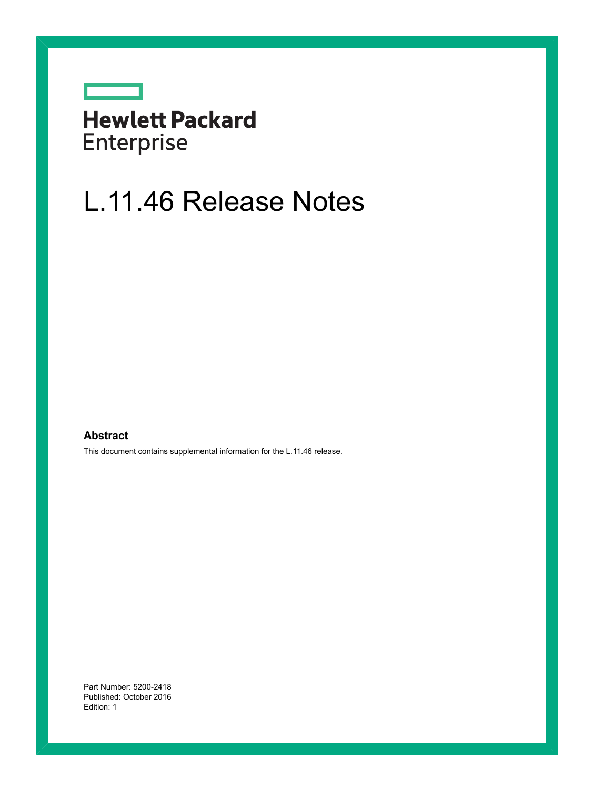## **Hewlett Packard** Enterprise

<u>and the second second</u>

# L.11.46 Release Notes

#### **Abstract**

This document contains supplemental information for the L.11.46 release.

Part Number: 5200-2418 Published: October 2016 Edition: 1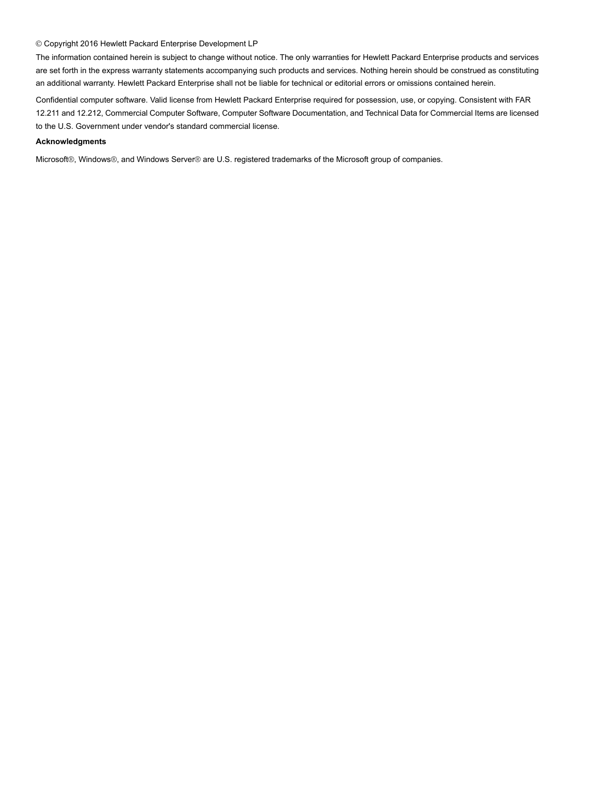#### © Copyright 2016 Hewlett Packard Enterprise Development LP

The information contained herein is subject to change without notice. The only warranties for Hewlett Packard Enterprise products and services are set forth in the express warranty statements accompanying such products and services. Nothing herein should be construed as constituting an additional warranty. Hewlett Packard Enterprise shall not be liable for technical or editorial errors or omissions contained herein.

Confidential computer software. Valid license from Hewlett Packard Enterprise required for possession, use, or copying. Consistent with FAR 12.211 and 12.212, Commercial Computer Software, Computer Software Documentation, and Technical Data for Commercial Items are licensed to the U.S. Government under vendor's standard commercial license.

#### **Acknowledgments**

Microsoft®, Windows®, and Windows Server® are U.S. registered trademarks of the Microsoft group of companies.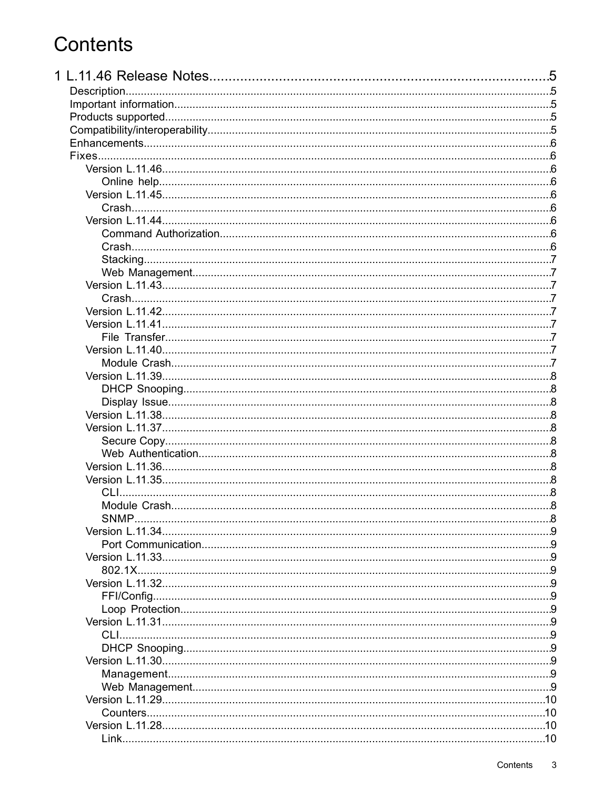## Contents

|         | .5  |  |
|---------|-----|--|
|         |     |  |
|         |     |  |
|         |     |  |
|         |     |  |
|         |     |  |
|         |     |  |
|         |     |  |
|         |     |  |
|         |     |  |
|         |     |  |
|         |     |  |
|         |     |  |
|         |     |  |
|         |     |  |
|         |     |  |
|         |     |  |
|         |     |  |
|         |     |  |
|         |     |  |
|         |     |  |
|         |     |  |
|         |     |  |
|         |     |  |
|         |     |  |
|         |     |  |
|         |     |  |
|         |     |  |
|         |     |  |
|         |     |  |
|         |     |  |
|         |     |  |
|         |     |  |
|         |     |  |
|         |     |  |
|         |     |  |
|         |     |  |
|         |     |  |
|         | . 9 |  |
| 802.1X. |     |  |
| . 9     |     |  |
|         |     |  |
|         |     |  |
|         |     |  |
|         |     |  |
|         |     |  |
|         |     |  |
|         |     |  |
|         |     |  |
|         |     |  |
|         |     |  |
|         |     |  |
|         |     |  |
|         |     |  |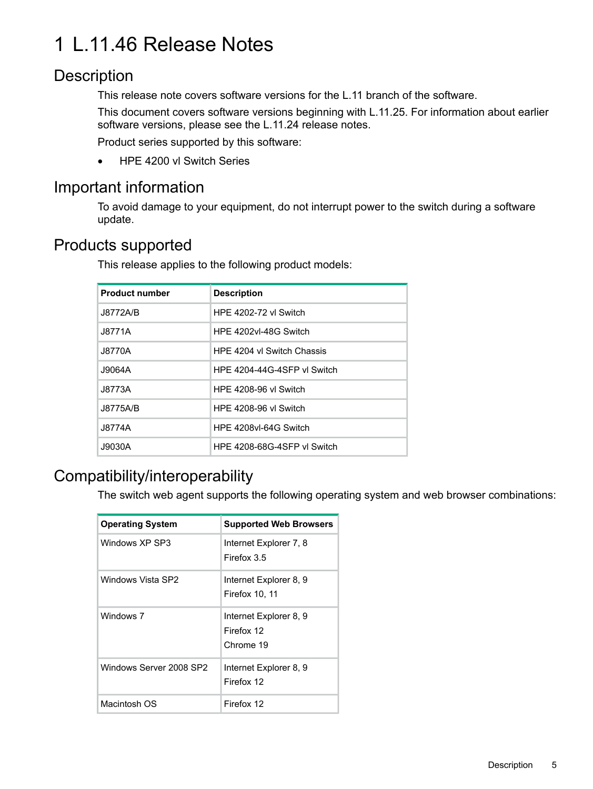## <span id="page-4-0"></span>1 L.11.46 Release Notes

## **Description**

<span id="page-4-1"></span>This release note covers software versions for the L.11 branch of the software.

This document covers software versions beginning with L.11.25. For information about earlier software versions, please see the L.11.24 release notes.

Product series supported by this software:

<span id="page-4-2"></span>• HPE 4200 vl Switch Series

## Important information

<span id="page-4-3"></span>To avoid damage to your equipment, do not interrupt power to the switch during a software update.

## Products supported

This release applies to the following product models:

| <b>Product number</b> | <b>Description</b>          |
|-----------------------|-----------------------------|
| J8772A/B              | HPF 4202-72 vl Switch       |
| J8771A                | HPF 4202vl-48G Switch       |
| J8770A                | HPE 4204 vl Switch Chassis  |
| J9064A                | HPF 4204-44G-4SFP vl Switch |
| J8773A                | HPE 4208-96 vl Switch       |
| J8775A/B              | HPE 4208-96 vl Switch       |
| J8774A                | HPF 4208vl-64G Switch       |
| J9030A                | HPE 4208-68G-4SFP vl Switch |

## <span id="page-4-4"></span>Compatibility/interoperability

The switch web agent supports the following operating system and web browser combinations:

| <b>Operating System</b> | <b>Supported Web Browsers</b>                     |
|-------------------------|---------------------------------------------------|
| Windows XP SP3          | Internet Explorer 7, 8<br>Firefox 3.5             |
| Windows Vista SP2       | Internet Explorer 8, 9<br>Firefox 10, 11          |
| Windows 7               | Internet Explorer 8, 9<br>Firefox 12<br>Chrome 19 |
| Windows Server 2008 SP2 | Internet Explorer 8, 9<br>Firefox 12              |
| Macintosh OS            | Firefox 12                                        |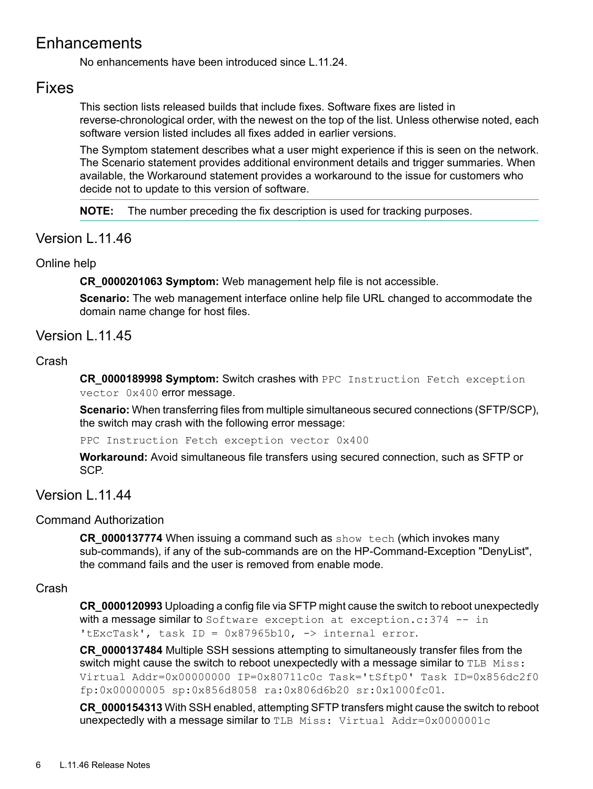## Enhancements

<span id="page-5-1"></span><span id="page-5-0"></span>No enhancements have been introduced since L.11.24.

### Fixes

This section lists released builds that include fixes. Software fixes are listed in reverse-chronological order, with the newest on the top of the list. Unless otherwise noted, each software version listed includes all fixes added in earlier versions.

The Symptom statement describes what a user might experience if this is seen on the network. The Scenario statement provides additional environment details and trigger summaries. When available, the Workaround statement provides a workaround to the issue for customers who decide not to update to this version of software.

<span id="page-5-3"></span><span id="page-5-2"></span>**NOTE:** The number preceding the fix description is used for tracking purposes.

#### Version L.11.46

#### Online help

**CR\_0000201063 Symptom:** Web management help file is not accessible.

<span id="page-5-5"></span><span id="page-5-4"></span>**Scenario:** The web management interface online help file URL changed to accommodate the domain name change for host files.

#### Version | 11.45

#### Crash

**CR\_0000189998 Symptom:** Switch crashes with PPC Instruction Fetch exception vector 0x400 error message.

**Scenario:** When transferring files from multiple simultaneous secured connections (SFTP/SCP), the switch may crash with the following error message:

<span id="page-5-6"></span>PPC Instruction Fetch exception vector 0x400

<span id="page-5-7"></span>**Workaround:** Avoid simultaneous file transfers using secured connection, such as SFTP or SCP.

#### Version | 11.44

#### Command Authorization

<span id="page-5-8"></span>**CR\_0000137774** When issuing a command such as show tech (which invokes many sub-commands), if any of the sub-commands are on the HP-Command-Exception "DenyList", the command fails and the user is removed from enable mode.

#### Crash

**CR\_0000120993** Uploading a config file via SFTP might cause the switch to reboot unexpectedly with a message similar to Software exception at exception.c: 374 -- in 'tExcTask', task ID =  $0x87965b10$ , -> internal error.

**CR\_0000137484** Multiple SSH sessions attempting to simultaneously transfer files from the switch might cause the switch to reboot unexpectedly with a message similar to  $TLE$  Miss: Virtual Addr=0x00000000 IP=0x80711c0c Task='tSftp0' Task ID=0x856dc2f0 fp:0x00000005 sp:0x856d8058 ra:0x806d6b20 sr:0x1000fc01.

**CR\_0000154313** With SSH enabled, attempting SFTP transfers might cause the switch to reboot unexpectedly with a message similar to TLB Miss: Virtual Addr=0x0000001c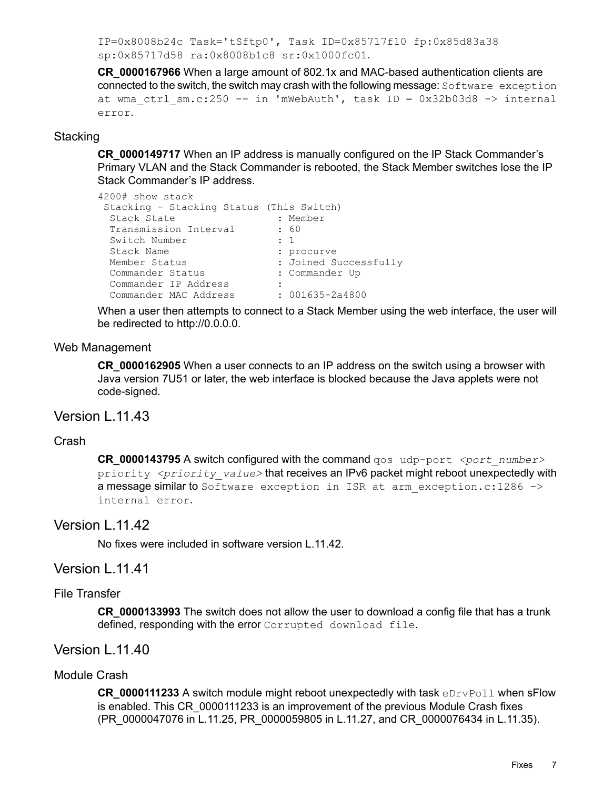IP=0x8008b24c Task='tSftp0', Task ID=0x85717f10 fp:0x85d83a38 sp:0x85717d58 ra:0x8008b1c8 sr:0x1000fc01.

**CR\_0000167966** When a large amount of 802.1x and MAC-based authentication clients are connected to the switch, the switch may crash with the following message: Software exception at wma ctrl sm.c:250 -- in 'mWebAuth', task ID = 0x32b03d8 -> internal error.

#### <span id="page-6-0"></span>**Stacking**

**CR\_0000149717** When an IP address is manually configured on the IP Stack Commander's Primary VLAN and the Stack Commander is rebooted, the Stack Member switches lose the IP Stack Commander's IP address.

```
4200# show stack
Stacking - Stacking Status (This Switch)
 Stack State : Member
 Transmission Interval : 60
 Switch Number : 1
 Stack Name : procurve
 Member Status : Joined Successfully
 Commander Status : Commander Up
 Commander IP Address :
 Commander MAC Address : 001635-2a4800
```
<span id="page-6-1"></span>When a user then attempts to connect to a Stack Member using the web interface, the user will be redirected to http://0.0.0.0.

#### Web Management

<span id="page-6-3"></span><span id="page-6-2"></span>**CR\_0000162905** When a user connects to an IP address on the switch using a browser with Java version 7U51 or later, the web interface is blocked because the Java applets were not code-signed.

#### Version L.11.43

#### Crash

<span id="page-6-4"></span>**CR\_0000143795** A switch configured with the command qos\_udp-port *<port\_number>* priority *<priority\_value>* that receives an IPv6 packet might reboot unexpectedly with a message similar to Software exception in ISR at arm exception.c:1286 -> internal error.

#### <span id="page-6-5"></span>Version L.11.42

<span id="page-6-7"></span><span id="page-6-6"></span>No fixes were included in software version L.11.42.

#### Version L.11.41

#### File Transfer

<span id="page-6-8"></span>**CR\_0000133993** The switch does not allow the user to download a config file that has a trunk defined, responding with the error Corrupted download file.

#### Version L.11.40

#### Module Crash

**CR\_0000111233** A switch module might reboot unexpectedly with task eDrvPoll when sFlow is enabled. This CR\_0000111233 is an improvement of the previous Module Crash fixes (PR\_0000047076 in L.11.25, PR\_0000059805 in L.11.27, and CR\_0000076434 in L.11.35).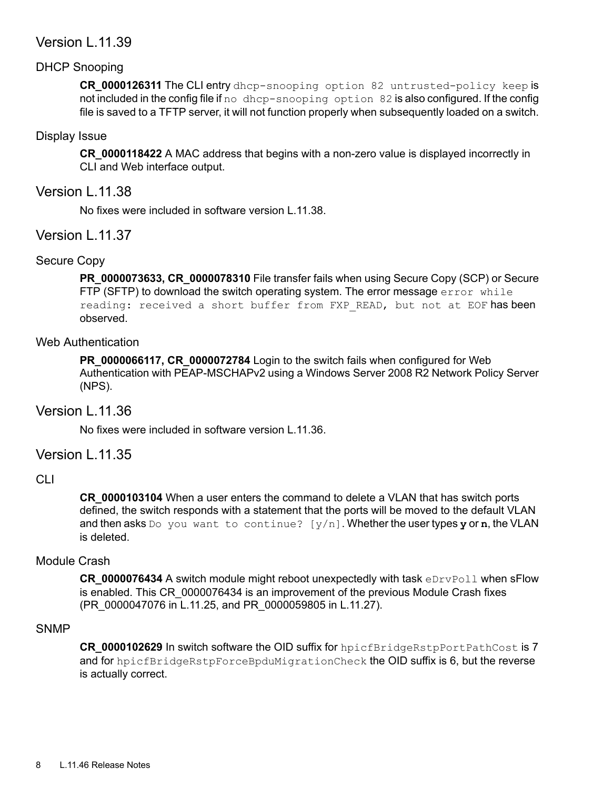#### <span id="page-7-0"></span>Version L.11.39

#### DHCP Snooping

<span id="page-7-2"></span><span id="page-7-1"></span>**CR\_0000126311** The CLI entry dhcp-snooping option 82 untrusted-policy keep is not included in the config file if no dhcp-snooping option 82 is also configured. If the config file is saved to a TFTP server, it will not function properly when subsequently loaded on a switch.

#### Display Issue

<span id="page-7-3"></span>**CR\_0000118422** A MAC address that begins with a non-zero value is displayed incorrectly in CLI and Web interface output.

#### Version L.11.38

<span id="page-7-5"></span><span id="page-7-4"></span>No fixes were included in software version L.11.38.

#### Version L.11.37

#### Secure Copy

<span id="page-7-6"></span>**PR\_0000073633, CR\_0000078310** File transfer fails when using Secure Copy (SCP) or Secure FTP (SFTP) to download the switch operating system. The error message  $error$  while reading: received a short buffer from FXP READ, but not at EOF has been observed.

#### Web Authentication

<span id="page-7-7"></span>**PR\_0000066117, CR\_0000072784** Login to the switch fails when configured for Web Authentication with PEAP-MSCHAPv2 using a Windows Server 2008 R2 Network Policy Server (NPS).

#### Version L.11.36

<span id="page-7-9"></span><span id="page-7-8"></span>No fixes were included in software version L.11.36.

#### Version L.11.35

#### CLI

<span id="page-7-10"></span>**CR\_0000103104** When a user enters the command to delete a VLAN that has switch ports defined, the switch responds with a statement that the ports will be moved to the default VLAN and then asks Do you want to continue?  $[y/n]$ . Whether the user types y or n, the VLAN is deleted.

#### Module Crash

<span id="page-7-11"></span>**CR\_0000076434** A switch module might reboot unexpectedly with task eDrvPoll when sFlow is enabled. This CR\_0000076434 is an improvement of the previous Module Crash fixes (PR\_0000047076 in L.11.25, and PR\_0000059805 in L.11.27).

#### SNMP

**CR\_0000102629** In switch software the OID suffix for hpicfBridgeRstpPortPathCost is 7 and for hpicfBridgeRstpForceBpduMigrationCheck the OID suffix is 6, but the reverse is actually correct.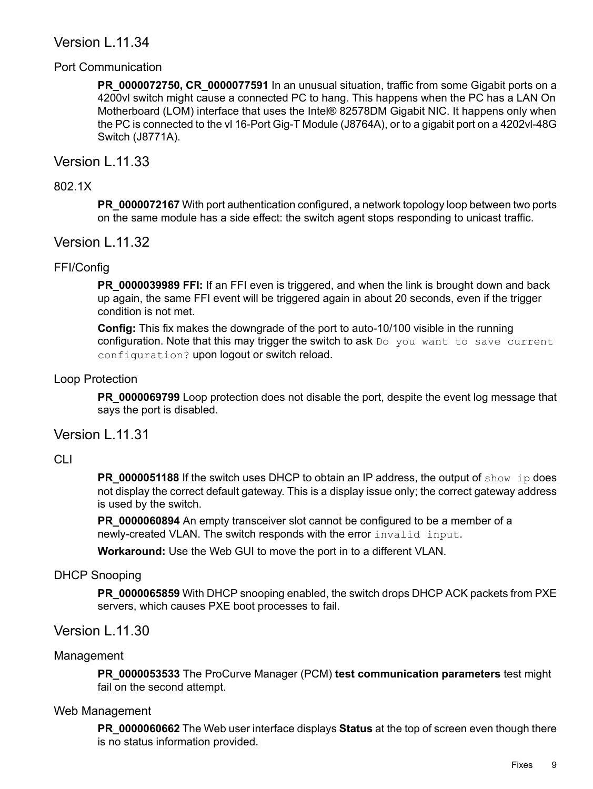#### <span id="page-8-0"></span>Version L.11.34

#### Port Communication

<span id="page-8-1"></span>**PR\_0000072750, CR\_0000077591** In an unusual situation, traffic from some Gigabit ports on a 4200vl switch might cause a connected PC to hang. This happens when the PC has a LAN On Motherboard (LOM) interface that uses the Intel® 82578DM Gigabit NIC. It happens only when the PC is connected to the vl 16-Port Gig-T Module (J8764A), or to a gigabit port on a 4202vl-48G Switch (J8771A).

#### <span id="page-8-3"></span><span id="page-8-2"></span>Version L.11.33

#### 802.1X

<span id="page-8-5"></span><span id="page-8-4"></span>**PR\_0000072167** With port authentication configured, a network topology loop between two ports on the same module has a side effect: the switch agent stops responding to unicast traffic.

#### Version L.11.32

#### FFI/Config

**PR\_0000039989 FFI:** If an FFI even is triggered, and when the link is brought down and back up again, the same FFI event will be triggered again in about 20 seconds, even if the trigger condition is not met.

<span id="page-8-6"></span>**Config:** This fix makes the downgrade of the port to auto-10/100 visible in the running configuration. Note that this may trigger the switch to ask  $Do you want to save current$ configuration? upon logout or switch reload.

#### Loop Protection

<span id="page-8-8"></span><span id="page-8-7"></span>**PR\_0000069799** Loop protection does not disable the port, despite the event log message that says the port is disabled.

#### Version L.11.31

#### CLI

**PR\_0000051188** If the switch uses DHCP to obtain an IP address, the output of show ip does not display the correct default gateway. This is a display issue only; the correct gateway address is used by the switch.

<span id="page-8-9"></span>**PR\_0000060894** An empty transceiver slot cannot be configured to be a member of a newly-created VLAN. The switch responds with the error invalid input.

<span id="page-8-10"></span>**Workaround:** Use the Web GUI to move the port in to a different VLAN.

#### DHCP Snooping

<span id="page-8-11"></span>**PR\_0000065859** With DHCP snooping enabled, the switch drops DHCP ACK packets from PXE servers, which causes PXE boot processes to fail.

#### <span id="page-8-12"></span>Version L.11.30

#### Management

**PR\_0000053533** The ProCurve Manager (PCM) **test communication parameters** test might fail on the second attempt.

#### Web Management

**PR\_0000060662** The Web user interface displays **Status** at the top of screen even though there is no status information provided.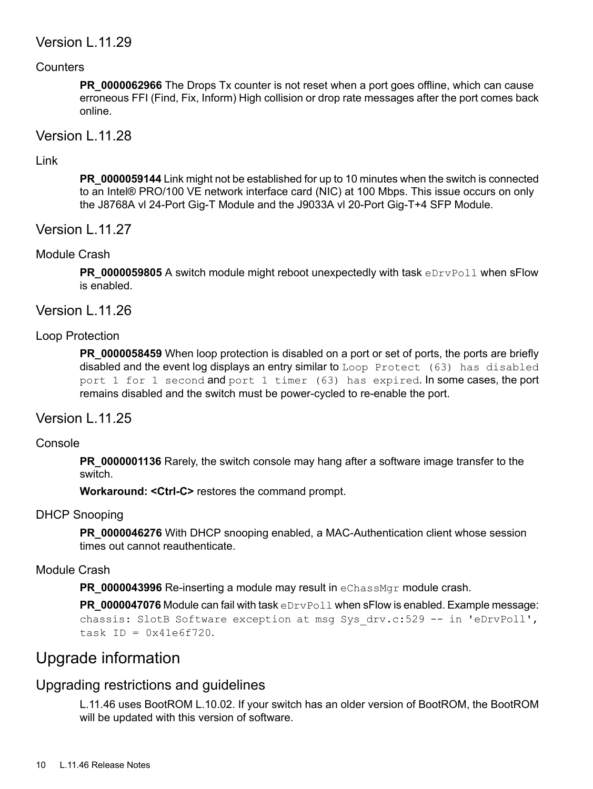#### <span id="page-9-0"></span>Version L.11.29

#### **Counters**

<span id="page-9-2"></span><span id="page-9-1"></span>**PR\_0000062966** The Drops Tx counter is not reset when a port goes offline, which can cause erroneous FFI (Find, Fix, Inform) High collision or drop rate messages after the port comes back online.

#### <span id="page-9-3"></span>Version L.11.28

#### Link

<span id="page-9-4"></span>**PR\_0000059144** Link might not be established for up to 10 minutes when the switch is connected to an Intel® PRO/100 VE network interface card (NIC) at 100 Mbps. This issue occurs on only the J8768A vl 24-Port Gig-T Module and the J9033A vl 20-Port Gig-T+4 SFP Module.

<span id="page-9-5"></span>Version L.11.27

#### Module Crash

<span id="page-9-7"></span><span id="page-9-6"></span>**PR\_0000059805** A switch module might reboot unexpectedly with task eDrvPoll when sFlow is enabled.

Version L.11.26

#### Loop Protection

<span id="page-9-9"></span><span id="page-9-8"></span>**PR\_0000058459** When loop protection is disabled on a port or set of ports, the ports are briefly disabled and the event log displays an entry similar to Loop Protect (63) has disabled port 1 for 1 second and port 1 timer (63) has expired. In some cases, the port remains disabled and the switch must be power-cycled to re-enable the port.

#### Version L.11.25

#### Console

<span id="page-9-10"></span>**PR\_0000001136** Rarely, the switch console may hang after a software image transfer to the switch.

<span id="page-9-11"></span>**Workaround: <Ctrl-C>** restores the command prompt.

#### DHCP Snooping

**PR\_0000046276** With DHCP snooping enabled, a MAC-Authentication client whose session times out cannot reauthenticate.

#### Module Crash

<span id="page-9-12"></span>**PR\_0000043996** Re-inserting a module may result in eChassMgr module crash.

<span id="page-9-13"></span>**PR\_0000047076** Module can fail with task eDrvPoll when sFlow is enabled. Example message: chassis: SlotB Software exception at msg Sys drv.c:529 -- in 'eDrvPoll', task ID =  $0 \times 41 \in 6f720$ .

## Upgrade information

## Upgrading restrictions and guidelines

L.11.46 uses BootROM L.10.02. If your switch has an older version of BootROM, the BootROM will be updated with this version of software.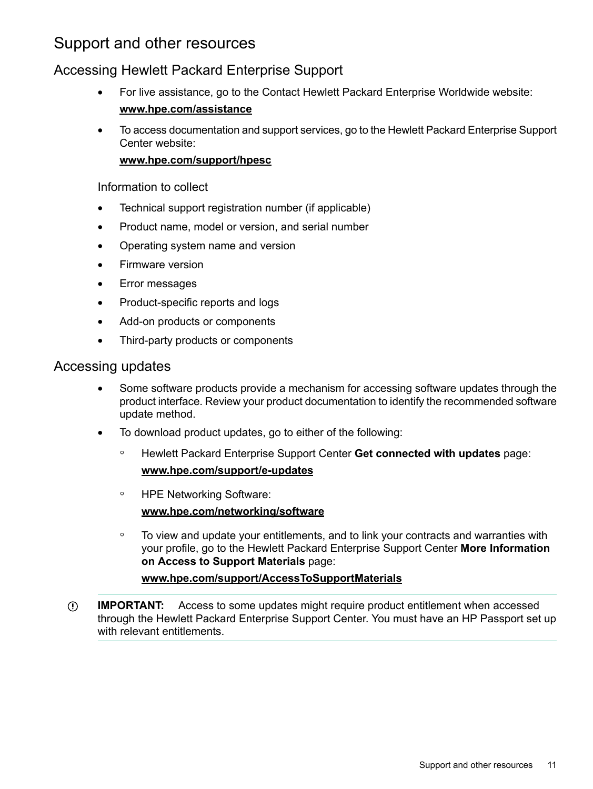## <span id="page-10-0"></span>Support and other resources

### <span id="page-10-1"></span>Accessing Hewlett Packard Enterprise Support

- For live assistance, go to the Contact Hewlett Packard Enterprise Worldwide website: **[www.hpe.com/assistance](http://www.hpe.com/assistance)**
- To access documentation and support services, go to the Hewlett Packard Enterprise Support Center website:

#### **[www.hpe.com/support/hpesc](http://www.hpe.com/support/hpesc)**

#### Information to collect

- Technical support registration number (if applicable)
- Product name, model or version, and serial number
- Operating system name and version
- Firmware version
- Error messages
- Product-specific reports and logs
- <span id="page-10-2"></span>• Add-on products or components
- Third-party products or components

#### Accessing updates

- Some software products provide a mechanism for accessing software updates through the product interface. Review your product documentation to identify the recommended software update method.
- To download product updates, go to either of the following:
	- Hewlett Packard Enterprise Support Center **Get connected with updates** page: **<www.hpe.com/support/e-updates>**  $\circ$
	- HPE Networking Software: **<www.hpe.com/networking/software>**
	- To view and update your entitlements, and to link your contracts and warranties with your profile, go to the Hewlett Packard Enterprise Support Center **More Information on Access to Support Materials** page:

#### **<www.hpe.com/support/AccessToSupportMaterials>**

 $\mathbb{O}$ **IMPORTANT:** Access to some updates might require product entitlement when accessed through the Hewlett Packard Enterprise Support Center. You must have an HP Passport set up with relevant entitlements.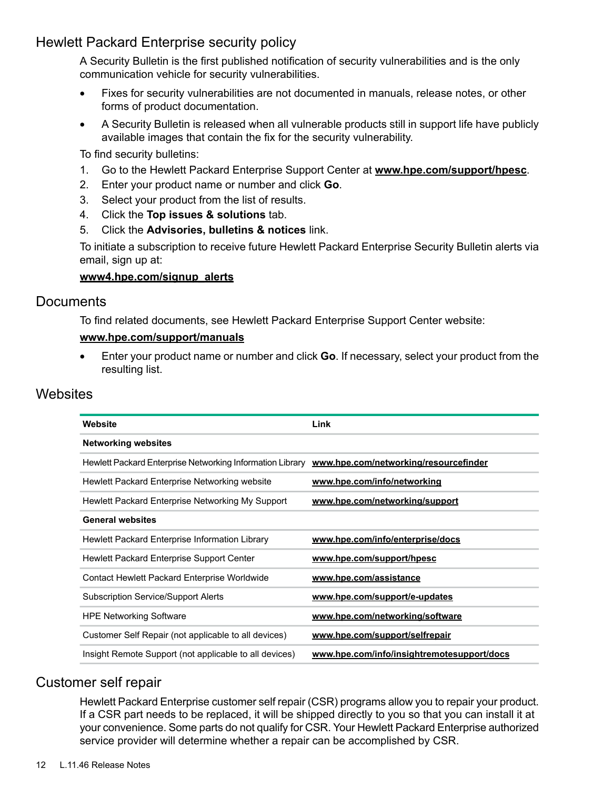### Hewlett Packard Enterprise security policy

<span id="page-11-0"></span>A Security Bulletin is the first published notification of security vulnerabilities and is the only communication vehicle for security vulnerabilities.

- Fixes for security vulnerabilities are not documented in manuals, release notes, or other forms of product documentation.
- A Security Bulletin is released when all vulnerable products still in support life have publicly available images that contain the fix for the security vulnerability.

To find security bulletins:

- 1. Go to the Hewlett Packard Enterprise Support Center at **<www.hpe.com/support/hpesc>**.
- 2. Enter your product name or number and click **Go**.
- 3. Select your product from the list of results.
- 4. Click the **Top issues & solutions** tab.
- 5. Click the **Advisories, bulletins & notices** link.

To initiate a subscription to receive future Hewlett Packard Enterprise Security Bulletin alerts via email, sign up at:

#### <span id="page-11-1"></span>**[www4.hpe.com/signup\\_alerts](http://h41360.www4.hpe.com/signup_alerts.php?jumpid=hpsc_secbulletins)**

#### **Documents**

To find related documents, see Hewlett Packard Enterprise Support Center website:

#### <span id="page-11-2"></span>**<www.hpe.com/support/manuals>**

• Enter your product name or number and click **Go**. If necessary, select your product from the resulting list.

#### **Websites**

| Website                                                   | Link                                       |
|-----------------------------------------------------------|--------------------------------------------|
| <b>Networking websites</b>                                |                                            |
| Hewlett Packard Enterprise Networking Information Library | www.hpe.com/networking/resourcefinder      |
| Hewlett Packard Enterprise Networking website             | www.hpe.com/info/networking                |
| Hewlett Packard Enterprise Networking My Support          | www.hpe.com/networking/support             |
| <b>General websites</b>                                   |                                            |
| Hewlett Packard Enterprise Information Library            | www.hpe.com/info/enterprise/docs           |
| Hewlett Packard Enterprise Support Center                 | www.hpe.com/support/hpesc                  |
| Contact Hewlett Packard Enterprise Worldwide              | www.hpe.com/assistance                     |
| <b>Subscription Service/Support Alerts</b>                | www.hpe.com/support/e-updates              |
| <b>HPE Networking Software</b>                            | www.hpe.com/networking/software            |
| Customer Self Repair (not applicable to all devices)      | www.hpe.com/support/selfrepair             |
| Insight Remote Support (not applicable to all devices)    | www.hpe.com/info/insightremotesupport/docs |

#### <span id="page-11-3"></span>Customer self repair

Hewlett Packard Enterprise customer self repair (CSR) programs allow you to repair your product. If a CSR part needs to be replaced, it will be shipped directly to you so that you can install it at your convenience. Some parts do not qualify for CSR. Your Hewlett Packard Enterprise authorized service provider will determine whether a repair can be accomplished by CSR.